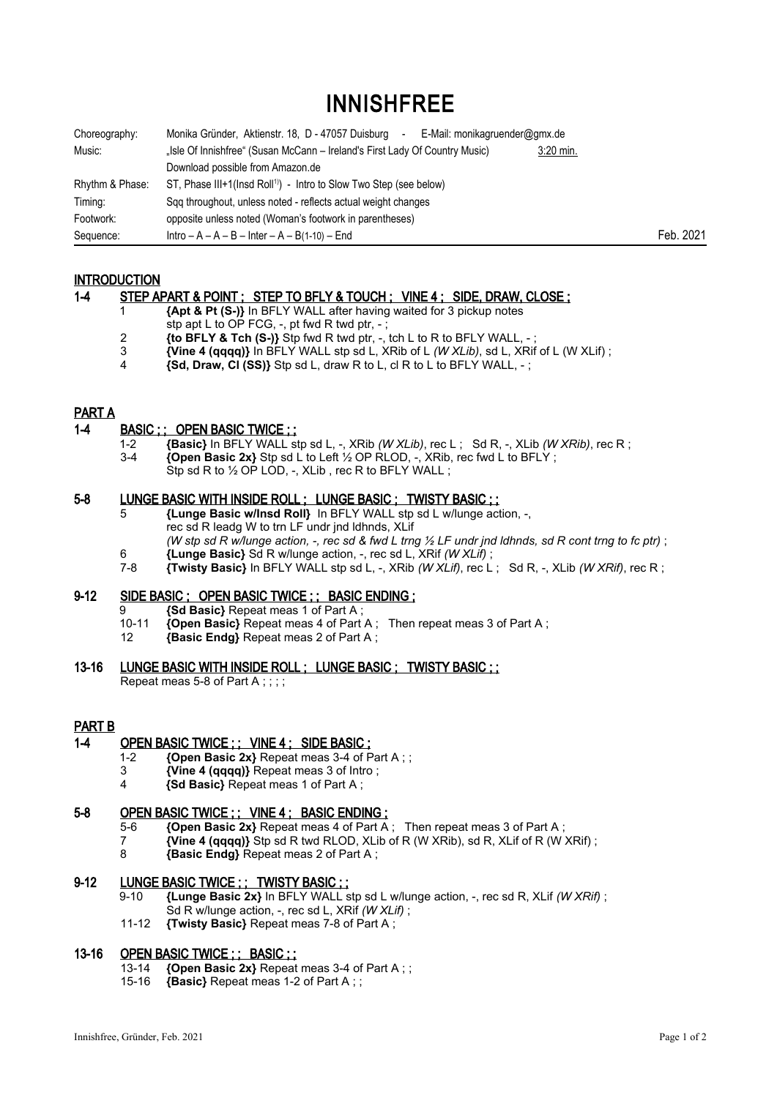# INNISHFREE

| Choreography:   | Monika Gründer, Aktienstr. 18, D - 47057 Duisburg<br>E-Mail: monikagruender@gmx.de<br>$\blacksquare$ |           |           |
|-----------------|------------------------------------------------------------------------------------------------------|-----------|-----------|
| Music:          | "Isle Of Innishfree" (Susan McCann - Ireland's First Lady Of Country Music)                          | 3:20 min. |           |
|                 | Download possible from Amazon.de                                                                     |           |           |
| Rhythm & Phase: | ST, Phase III+1(lnsd Roll <sup>1)</sup> ) - Intro to Slow Two Step (see below)                       |           |           |
| Timing:         | Sqq throughout, unless noted - reflects actual weight changes                                        |           |           |
| Footwork:       | opposite unless noted (Woman's footwork in parentheses)                                              |           |           |
| Sequence:       | $Intro - A - A - B - Inter - A - B(1-10) - End$                                                      |           | Feb. 2021 |

## **INTRODUCTION**

### 1-4 STEP APART & POINT ; STEP TO BFLY & TOUCH ; VINE 4 ; SIDE, DRAW, CLOSE ;

- 1 **{Apt & Pt (S-)}** In BFLY WALL after having waited for 3 pickup notes
- stp apt L to OP FCG, -, pt fwd R twd ptr, -;
- 2 **{to BFLY & Tch (S-)}** Stp fwd R twd ptr, -, tch L to R to BFLY WALL, ;
- 3 **{Vine 4 (qqqq)}** In BFLY WALL stp sd L, XRib of L *(W XLib)*, sd L, XRif of L (W XLif) ;
- 4 **{Sd, Draw, Cl (SS)}** Stp sd L, draw R to L, cl R to L to BFLY WALL, ;

## PART A

### 1-4 BASIC ; ; OPEN BASIC TWICE ; ;

 1-2 **{Basic}** In BFLY WALL stp sd L, -, XRib *(W XLib)*, rec L ; Sd R, -, XLib *(W XRib)*, rec R ; 3-4 **{Open Basic 2x}** Stp sd L to Left ½ OP RLOD, -, XRib, rec fwd L to BFLY ; Stp sd R to 1/2 OP LOD, -, XLib, rec R to BFLY WALL;

## 5-8 LUNGE BASIC WITH INSIDE ROLL ; LUNGE BASIC ; TWISTY BASIC ; ;

- 5 **{Lunge Basic w/Insd Roll}** In BFLY WALL stp sd L w/lunge action, -, rec sd R leadg W to trn LF undr jnd ldhnds, XLif *(W stp sd R w/lunge action, -, rec sd & fwd L trng ½ LF undr jnd ldhnds, sd R cont trng to fc ptr)* ;
- 
- 6 **{Lunge Basic}** Sd R w/lunge action, -, rec sd L, XRif *(W XLif)* ; 7-8 **{Twisty Basic}** In BFLY WALL stp sd L, -, XRib *(W XLif)*, rec L ; Sd R, -, XLib *(W XRif)*, rec R ;

#### 9-12 SIDE BASIC ; OPEN BASIC TWICE ; ; BASIC ENDING ;

- 9 **{Sd Basic}** Repeat meas 1 of Part A;<br>10-11 *{Onen Basic}* Repeat meas 4 of Part
- 10-11 **{Open Basic}** Repeat meas 4 of Part A ; Then repeat meas 3 of Part A ;<br>12 *Basic Endel Repeat meas 2 of Part A :*
- 12 **{Basic Endg}** Repeat meas 2 of Part A ;

#### 13-16 LUNGE BASIC WITH INSIDE ROLL ; LUNGE BASIC ; TWISTY BASIC ; ;

Repeat meas 5-8 of Part A : : : :

## PART B

## 1-4 OPEN BASIC TWICE ; ; VINE 4 ; SIDE BASIC :

- 1-2 **{Open Basic 2x}** Repeat meas 3-4 of Part A ; ;
- 3 **{Vine 4 (qqqq)}** Repeat meas 3 of Intro ;
- 4 **{Sd Basic}** Repeat meas 1 of Part A ;

#### 5-8 OPEN BASIC TWICE ; ; VINE 4 ; BASIC ENDING ;

- 5-6 **{Open Basic 2x}** Repeat meas 4 of Part A ; Then repeat meas 3 of Part A ;
- 7 **{Vine 4 (qqqq)}** Stp sd R twd RLOD, XLib of R (W XRib), sd R, XLif of R (W XRif) ;<br>8 **{Basic Endo}** Repeat meas 2 of Part A :
- 8 **{Basic Endg}** Repeat meas 2 of Part A ;

#### 9-12 LUNGE BASIC TWICE ; ; TWISTY BASIC ; ;

- 9-10 **{Lunge Basic 2x}** In BFLY WALL stp sd L w/lunge action, -, rec sd R, XLif *(W XRif)* ; Sd R w/lunge action, -, rec sd L, XRif *(W XLif)* ;
- 11-12 **{Twisty Basic}** Repeat meas 7-8 of Part A ;

## 13-16 OPEN BASIC TWICE ; ; BASIC ; ;

- 13-14 **{Open Basic 2x}** Repeat meas 3-4 of Part A ; ;
- 15-16 **{Basic}** Repeat meas 1-2 of Part A ; ;